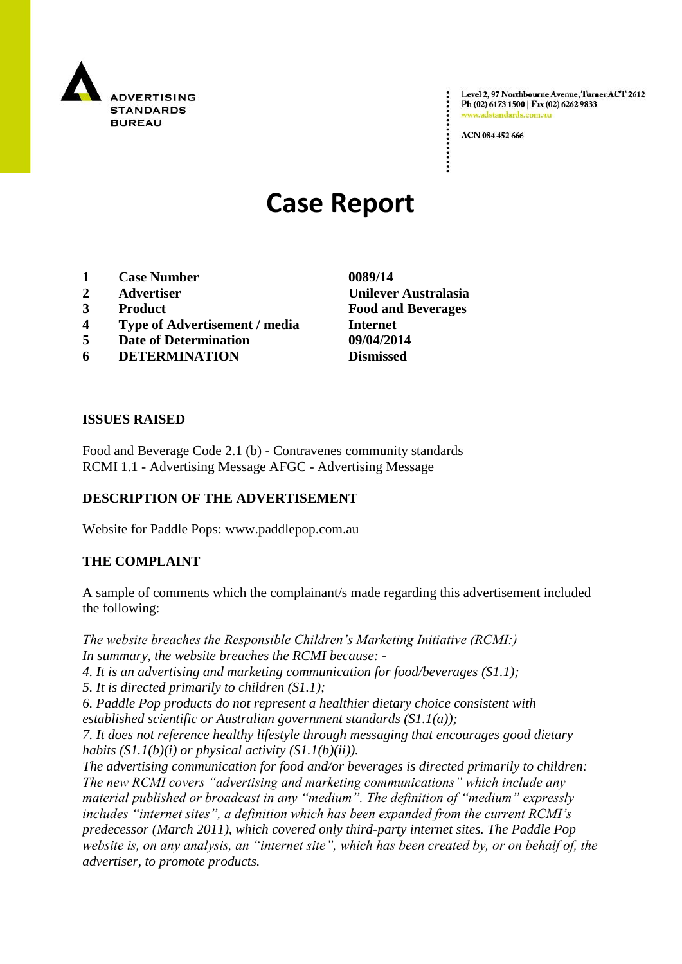

Level 2, 97 Northbourne Avenue, Turner ACT 2612 Ph (02) 6173 1500 | Fax (02) 6262 9833 .adstandards.

ACN 084 452 666

# **Case Report**

- **1 Case Number 0089/14**
- 
- 
- **4 Type of Advertisement / media Internet**
- **5 Date of Determination 09/04/2014**
- **6 DETERMINATION Dismissed**

**2 Advertiser Unilever Australasia 3 Product Food and Beverages**

### **ISSUES RAISED**

Food and Beverage Code 2.1 (b) - Contravenes community standards RCMI 1.1 - Advertising Message AFGC - Advertising Message

## **DESCRIPTION OF THE ADVERTISEMENT**

Website for Paddle Pops: www.paddlepop.com.au

### **THE COMPLAINT**

A sample of comments which the complainant/s made regarding this advertisement included the following:

*The website breaches the Responsible Children's Marketing Initiative (RCMI:) In summary, the website breaches the RCMI because: - 4. It is an advertising and marketing communication for food/beverages (S1.1); 5. It is directed primarily to children (S1.1);*

*6. Paddle Pop products do not represent a healthier dietary choice consistent with* 

*established scientific or Australian government standards (S1.1(a));*

*7. It does not reference healthy lifestyle through messaging that encourages good dietary habits (S1.1(b)(i) or physical activity (S1.1(b)(ii)).*

*The advertising communication for food and/or beverages is directed primarily to children: The new RCMI covers "advertising and marketing communications" which include any material published or broadcast in any "medium". The definition of "medium" expressly includes "internet sites", a definition which has been expanded from the current RCMI's predecessor (March 2011), which covered only third-party internet sites. The Paddle Pop website is, on any analysis, an "internet site", which has been created by, or on behalf of, the advertiser, to promote products.*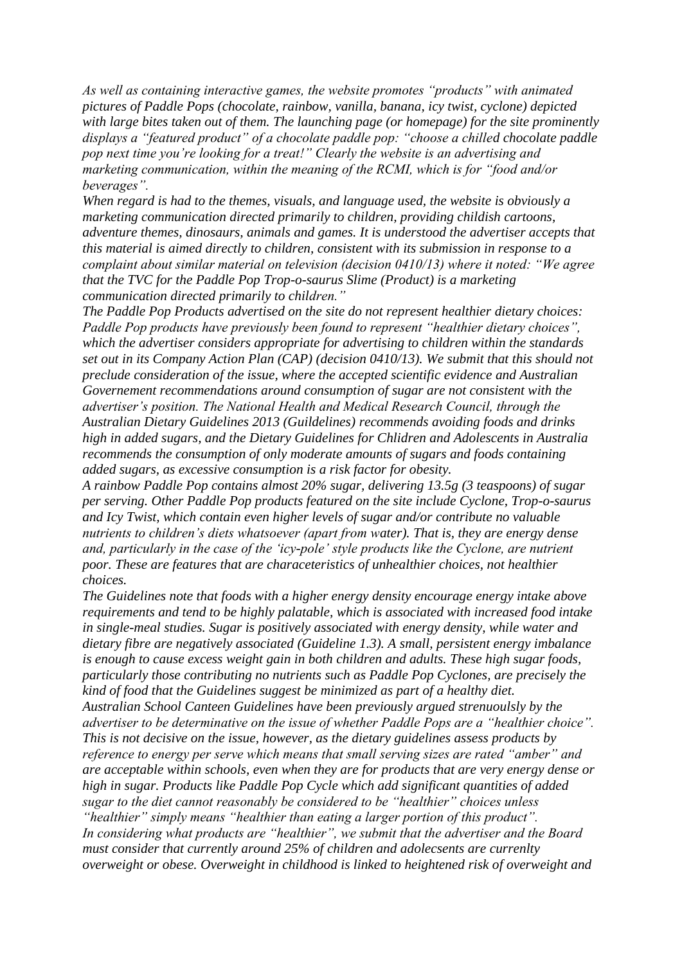*As well as containing interactive games, the website promotes "products" with animated pictures of Paddle Pops (chocolate, rainbow, vanilla, banana, icy twist, cyclone) depicted with large bites taken out of them. The launching page (or homepage) for the site prominently displays a "featured product" of a chocolate paddle pop: "choose a chilled chocolate paddle pop next time you're looking for a treat!" Clearly the website is an advertising and marketing communication, within the meaning of the RCMI, which is for "food and/or beverages".*

*When regard is had to the themes, visuals, and language used, the website is obviously a marketing communication directed primarily to children, providing childish cartoons, adventure themes, dinosaurs, animals and games. It is understood the advertiser accepts that this material is aimed directly to children, consistent with its submission in response to a complaint about similar material on television (decision 0410/13) where it noted: "We agree that the TVC for the Paddle Pop Trop-o-saurus Slime (Product) is a marketing communication directed primarily to children."*

*The Paddle Pop Products advertised on the site do not represent healthier dietary choices: Paddle Pop products have previously been found to represent "healthier dietary choices", which the advertiser considers appropriate for advertising to children within the standards set out in its Company Action Plan (CAP) (decision 0410/13). We submit that this should not preclude consideration of the issue, where the accepted scientific evidence and Australian Governement recommendations around consumption of sugar are not consistent with the advertiser's position. The National Health and Medical Research Council, through the Australian Dietary Guidelines 2013 (Guildelines) recommends avoiding foods and drinks high in added sugars, and the Dietary Guidelines for Chlidren and Adolescents in Australia recommends the consumption of only moderate amounts of sugars and foods containing added sugars, as excessive consumption is a risk factor for obesity.*

*A rainbow Paddle Pop contains almost 20% sugar, delivering 13.5g (3 teaspoons) of sugar per serving. Other Paddle Pop products featured on the site include Cyclone, Trop-o-saurus and Icy Twist, which contain even higher levels of sugar and/or contribute no valuable nutrients to children's diets whatsoever (apart from water). That is, they are energy dense and, particularly in the case of the 'icy-pole' style products like the Cyclone, are nutrient poor. These are features that are characeteristics of unhealthier choices, not healthier choices.*

*The Guidelines note that foods with a higher energy density encourage energy intake above requirements and tend to be highly palatable, which is associated with increased food intake in single-meal studies. Sugar is positively associated with energy density, while water and dietary fibre are negatively associated (Guideline 1.3). A small, persistent energy imbalance is enough to cause excess weight gain in both children and adults. These high sugar foods, particularly those contributing no nutrients such as Paddle Pop Cyclones, are precisely the kind of food that the Guidelines suggest be minimized as part of a healthy diet. Australian School Canteen Guidelines have been previously argued strenuoulsly by the advertiser to be determinative on the issue of whether Paddle Pops are a "healthier choice". This is not decisive on the issue, however, as the dietary guidelines assess products by reference to energy per serve which means that small serving sizes are rated "amber" and are acceptable within schools, even when they are for products that are very energy dense or high in sugar. Products like Paddle Pop Cycle which add significant quantities of added sugar to the diet cannot reasonably be considered to be "healthier" choices unless "healthier" simply means "healthier than eating a larger portion of this product". In considering what products are "healthier", we submit that the advertiser and the Board must consider that currently around 25% of children and adolecsents are currenlty overweight or obese. Overweight in childhood is linked to heightened risk of overweight and*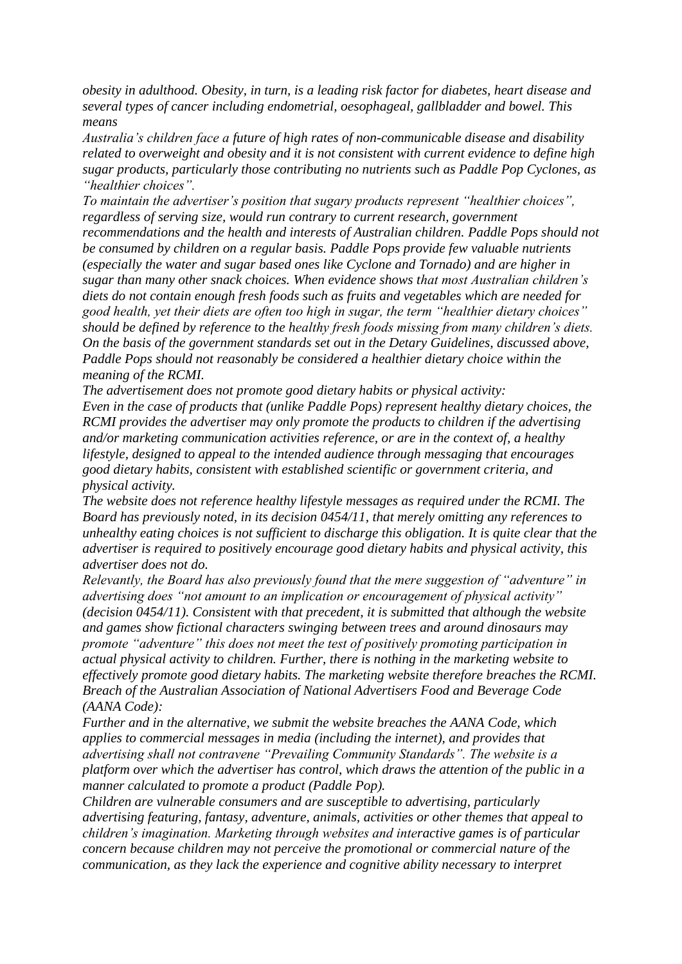*obesity in adulthood. Obesity, in turn, is a leading risk factor for diabetes, heart disease and several types of cancer including endometrial, oesophageal, gallbladder and bowel. This means*

*Australia's children face a future of high rates of non-communicable disease and disability related to overweight and obesity and it is not consistent with current evidence to define high sugar products, particularly those contributing no nutrients such as Paddle Pop Cyclones, as "healthier choices".*

*To maintain the advertiser's position that sugary products represent "healthier choices", regardless of serving size, would run contrary to current research, government recommendations and the health and interests of Australian children. Paddle Pops should not be consumed by children on a regular basis. Paddle Pops provide few valuable nutrients (especially the water and sugar based ones like Cyclone and Tornado) and are higher in sugar than many other snack choices. When evidence shows that most Australian children's diets do not contain enough fresh foods such as fruits and vegetables which are needed for good health, yet their diets are often too high in sugar, the term "healthier dietary choices" should be defined by reference to the healthy fresh foods missing from many children's diets. On the basis of the government standards set out in the Detary Guidelines, discussed above, Paddle Pops should not reasonably be considered a healthier dietary choice within the meaning of the RCMI.*

*The advertisement does not promote good dietary habits or physical activity:*

*Even in the case of products that (unlike Paddle Pops) represent healthy dietary choices, the RCMI provides the advertiser may only promote the products to children if the advertising and/or marketing communication activities reference, or are in the context of, a healthy lifestyle, designed to appeal to the intended audience through messaging that encourages good dietary habits, consistent with established scientific or government criteria, and physical activity.*

*The website does not reference healthy lifestyle messages as required under the RCMI. The Board has previously noted, in its decision 0454/11, that merely omitting any references to unhealthy eating choices is not sufficient to discharge this obligation. It is quite clear that the advertiser is required to positively encourage good dietary habits and physical activity, this advertiser does not do.*

*Relevantly, the Board has also previously found that the mere suggestion of "adventure" in advertising does "not amount to an implication or encouragement of physical activity" (decision 0454/11). Consistent with that precedent, it is submitted that although the website and games show fictional characters swinging between trees and around dinosaurs may promote "adventure" this does not meet the test of positively promoting participation in actual physical activity to children. Further, there is nothing in the marketing website to effectively promote good dietary habits. The marketing website therefore breaches the RCMI. Breach of the Australian Association of National Advertisers Food and Beverage Code (AANA Code):*

*Further and in the alternative, we submit the website breaches the AANA Code, which applies to commercial messages in media (including the internet), and provides that advertising shall not contravene "Prevailing Community Standards". The website is a platform over which the advertiser has control, which draws the attention of the public in a manner calculated to promote a product (Paddle Pop).*

*Children are vulnerable consumers and are susceptible to advertising, particularly advertising featuring, fantasy, adventure, animals, activities or other themes that appeal to children's imagination. Marketing through websites and interactive games is of particular concern because children may not perceive the promotional or commercial nature of the communication, as they lack the experience and cognitive ability necessary to interpret*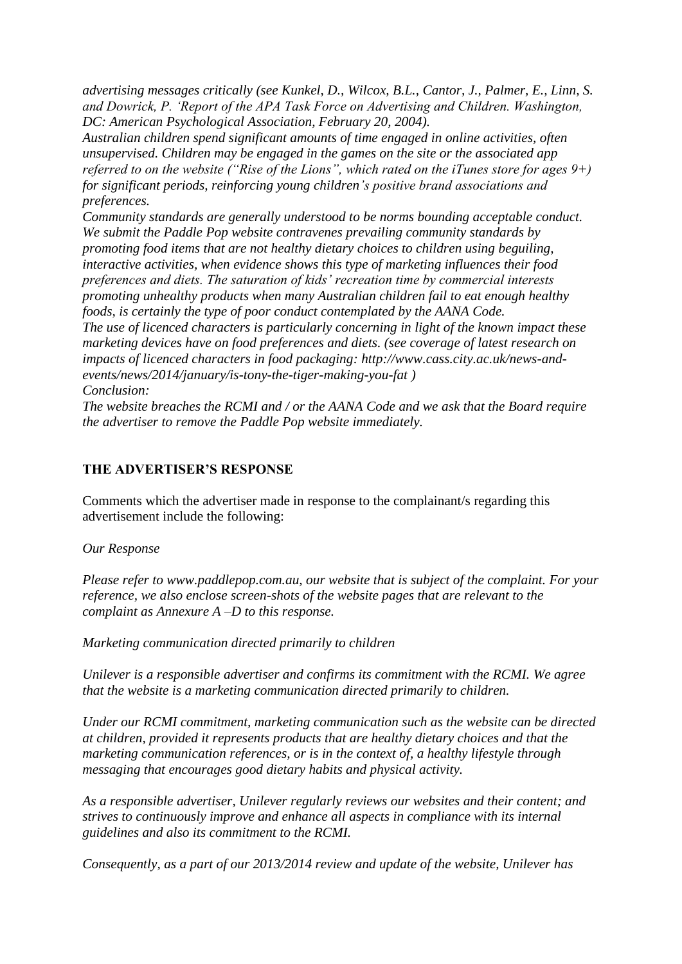*advertising messages critically (see Kunkel, D., Wilcox, B.L., Cantor, J., Palmer, E., Linn, S. and Dowrick, P. 'Report of the APA Task Force on Advertising and Children. Washington, DC: American Psychological Association, February 20, 2004).*

*Australian children spend significant amounts of time engaged in online activities, often unsupervised. Children may be engaged in the games on the site or the associated app referred to on the website ("Rise of the Lions", which rated on the iTunes store for ages 9+) for significant periods, reinforcing young children's positive brand associations and preferences.*

*Community standards are generally understood to be norms bounding acceptable conduct. We submit the Paddle Pop website contravenes prevailing community standards by promoting food items that are not healthy dietary choices to children using beguiling, interactive activities, when evidence shows this type of marketing influences their food preferences and diets. The saturation of kids' recreation time by commercial interests promoting unhealthy products when many Australian children fail to eat enough healthy foods, is certainly the type of poor conduct contemplated by the AANA Code.*

*The use of licenced characters is particularly concerning in light of the known impact these marketing devices have on food preferences and diets. (see coverage of latest research on impacts of licenced characters in food packaging: http://www.cass.city.ac.uk/news-andevents/news/2014/january/is-tony-the-tiger-making-you-fat ) Conclusion:*

*The website breaches the RCMI and / or the AANA Code and we ask that the Board require the advertiser to remove the Paddle Pop website immediately.*

# **THE ADVERTISER'S RESPONSE**

Comments which the advertiser made in response to the complainant/s regarding this advertisement include the following:

## *Our Response*

*Please refer to www.paddlepop.com.au, our website that is subject of the complaint. For your reference, we also enclose screen-shots of the website pages that are relevant to the complaint as Annexure A –D to this response.* 

*Marketing communication directed primarily to children* 

*Unilever is a responsible advertiser and confirms its commitment with the RCMI. We agree that the website is a marketing communication directed primarily to children.* 

*Under our RCMI commitment, marketing communication such as the website can be directed at children, provided it represents products that are healthy dietary choices and that the marketing communication references, or is in the context of, a healthy lifestyle through messaging that encourages good dietary habits and physical activity.* 

*As a responsible advertiser, Unilever regularly reviews our websites and their content; and strives to continuously improve and enhance all aspects in compliance with its internal guidelines and also its commitment to the RCMI.* 

*Consequently, as a part of our 2013/2014 review and update of the website, Unilever has*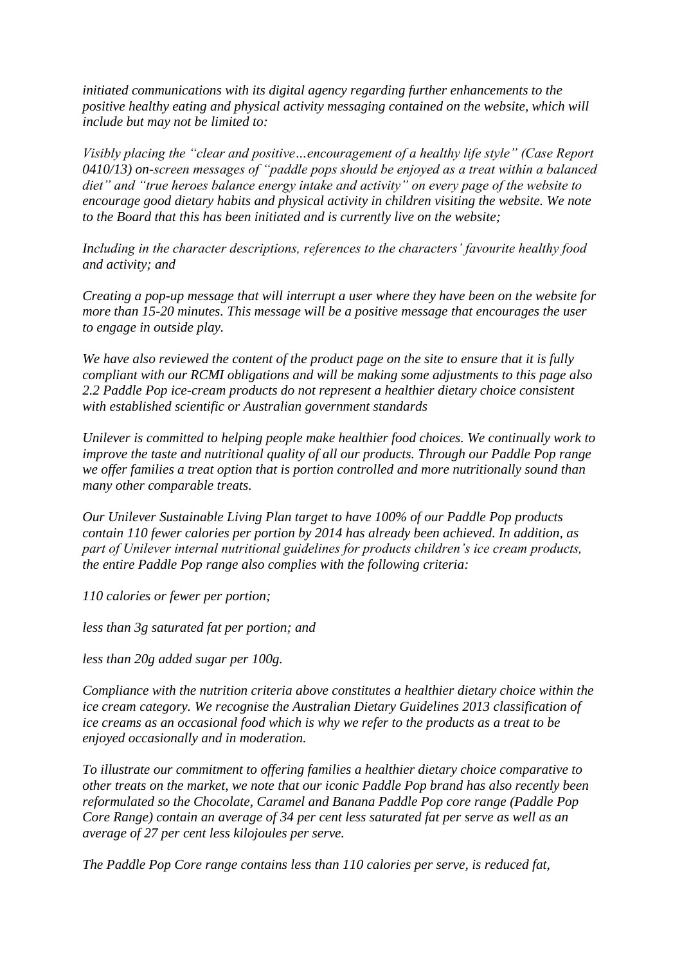*initiated communications with its digital agency regarding further enhancements to the positive healthy eating and physical activity messaging contained on the website, which will include but may not be limited to:* 

*Visibly placing the "clear and positive…encouragement of a healthy life style" (Case Report 0410/13) on-screen messages of "paddle pops should be enjoyed as a treat within a balanced diet" and "true heroes balance energy intake and activity" on every page of the website to encourage good dietary habits and physical activity in children visiting the website. We note to the Board that this has been initiated and is currently live on the website;* 

*Including in the character descriptions, references to the characters' favourite healthy food and activity; and* 

*Creating a pop-up message that will interrupt a user where they have been on the website for more than 15-20 minutes. This message will be a positive message that encourages the user to engage in outside play.* 

*We have also reviewed the content of the product page on the site to ensure that it is fully compliant with our RCMI obligations and will be making some adjustments to this page also 2.2 Paddle Pop ice-cream products do not represent a healthier dietary choice consistent with established scientific or Australian government standards* 

*Unilever is committed to helping people make healthier food choices. We continually work to improve the taste and nutritional quality of all our products. Through our Paddle Pop range we offer families a treat option that is portion controlled and more nutritionally sound than many other comparable treats.* 

*Our Unilever Sustainable Living Plan target to have 100% of our Paddle Pop products contain 110 fewer calories per portion by 2014 has already been achieved. In addition, as part of Unilever internal nutritional guidelines for products children's ice cream products, the entire Paddle Pop range also complies with the following criteria:* 

*110 calories or fewer per portion;* 

*less than 3g saturated fat per portion; and* 

*less than 20g added sugar per 100g.* 

*Compliance with the nutrition criteria above constitutes a healthier dietary choice within the ice cream category. We recognise the Australian Dietary Guidelines 2013 classification of ice creams as an occasional food which is why we refer to the products as a treat to be enjoyed occasionally and in moderation.* 

*To illustrate our commitment to offering families a healthier dietary choice comparative to other treats on the market, we note that our iconic Paddle Pop brand has also recently been reformulated so the Chocolate, Caramel and Banana Paddle Pop core range (Paddle Pop Core Range) contain an average of 34 per cent less saturated fat per serve as well as an average of 27 per cent less kilojoules per serve.* 

*The Paddle Pop Core range contains less than 110 calories per serve, is reduced fat,*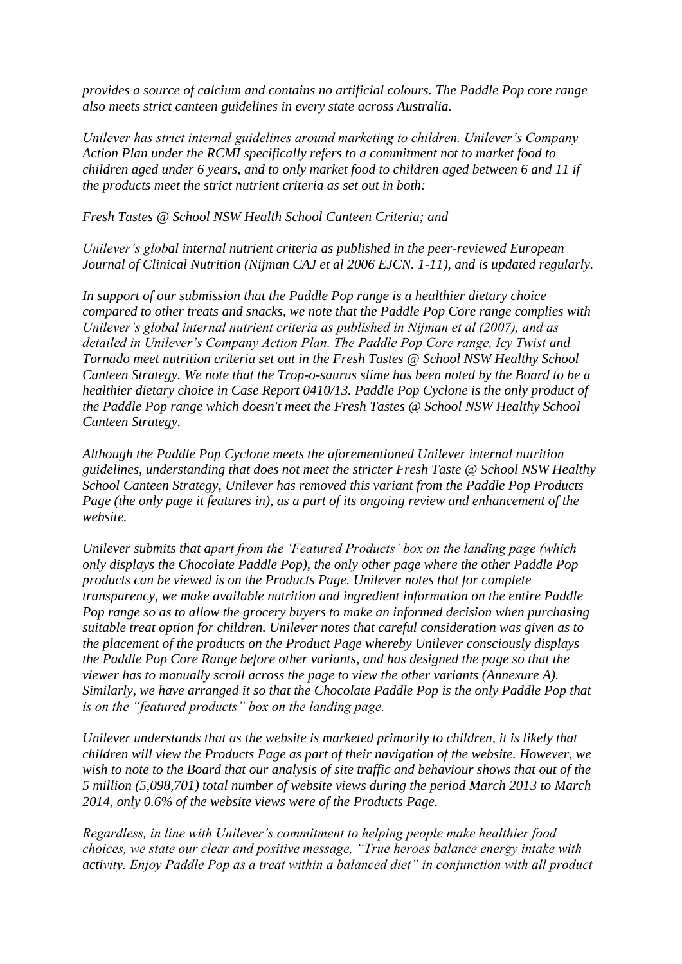*provides a source of calcium and contains no artificial colours. The Paddle Pop core range also meets strict canteen guidelines in every state across Australia.* 

*Unilever has strict internal guidelines around marketing to children. Unilever's Company Action Plan under the RCMI specifically refers to a commitment not to market food to children aged under 6 years, and to only market food to children aged between 6 and 11 if the products meet the strict nutrient criteria as set out in both:* 

*Fresh Tastes @ School NSW Health School Canteen Criteria; and* 

*Unilever's global internal nutrient criteria as published in the peer-reviewed European Journal of Clinical Nutrition (Nijman CAJ et al 2006 EJCN. 1-11), and is updated regularly.* 

*In support of our submission that the Paddle Pop range is a healthier dietary choice compared to other treats and snacks, we note that the Paddle Pop Core range complies with Unilever's global internal nutrient criteria as published in Nijman et al (2007), and as detailed in Unilever's Company Action Plan. The Paddle Pop Core range, Icy Twist and Tornado meet nutrition criteria set out in the Fresh Tastes @ School NSW Healthy School Canteen Strategy. We note that the Trop-o-saurus slime has been noted by the Board to be a healthier dietary choice in Case Report 0410/13. Paddle Pop Cyclone is the only product of the Paddle Pop range which doesn't meet the Fresh Tastes @ School NSW Healthy School Canteen Strategy.* 

*Although the Paddle Pop Cyclone meets the aforementioned Unilever internal nutrition guidelines, understanding that does not meet the stricter Fresh Taste @ School NSW Healthy School Canteen Strategy, Unilever has removed this variant from the Paddle Pop Products Page (the only page it features in), as a part of its ongoing review and enhancement of the website.*

*Unilever submits that apart from the 'Featured Products' box on the landing page (which only displays the Chocolate Paddle Pop), the only other page where the other Paddle Pop products can be viewed is on the Products Page. Unilever notes that for complete transparency, we make available nutrition and ingredient information on the entire Paddle Pop range so as to allow the grocery buyers to make an informed decision when purchasing suitable treat option for children. Unilever notes that careful consideration was given as to the placement of the products on the Product Page whereby Unilever consciously displays the Paddle Pop Core Range before other variants, and has designed the page so that the viewer has to manually scroll across the page to view the other variants (Annexure A). Similarly, we have arranged it so that the Chocolate Paddle Pop is the only Paddle Pop that is on the "featured products" box on the landing page.* 

*Unilever understands that as the website is marketed primarily to children, it is likely that children will view the Products Page as part of their navigation of the website. However, we wish to note to the Board that our analysis of site traffic and behaviour shows that out of the 5 million (5,098,701) total number of website views during the period March 2013 to March 2014, only 0.6% of the website views were of the Products Page.* 

*Regardless, in line with Unilever's commitment to helping people make healthier food choices, we state our clear and positive message, "True heroes balance energy intake with activity. Enjoy Paddle Pop as a treat within a balanced diet" in conjunction with all product*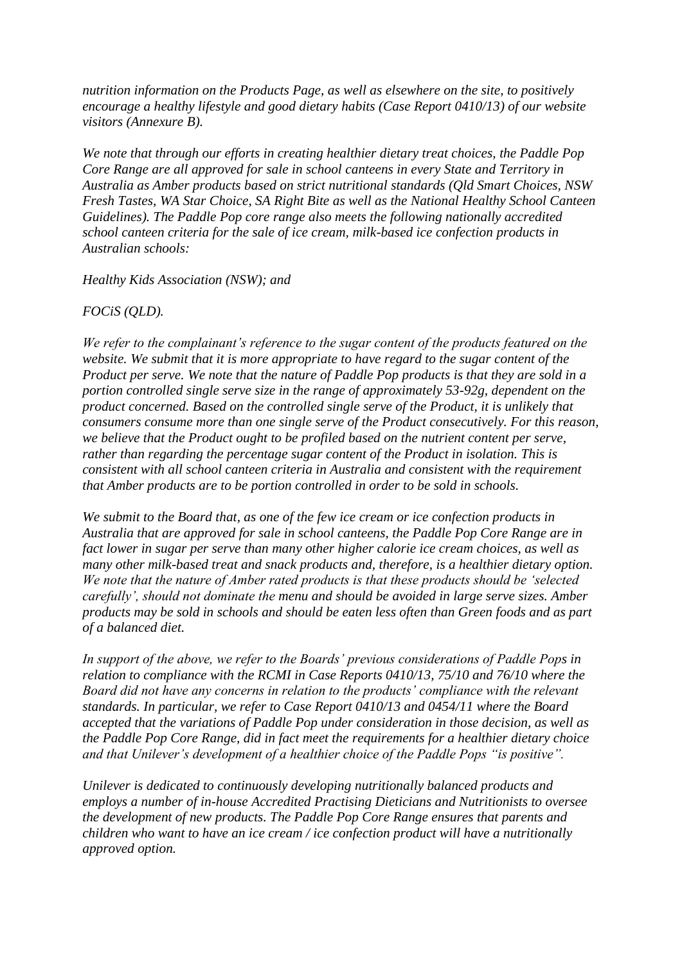*nutrition information on the Products Page, as well as elsewhere on the site, to positively encourage a healthy lifestyle and good dietary habits (Case Report 0410/13) of our website visitors (Annexure B).* 

*We note that through our efforts in creating healthier dietary treat choices, the Paddle Pop Core Range are all approved for sale in school canteens in every State and Territory in Australia as Amber products based on strict nutritional standards (Qld Smart Choices, NSW Fresh Tastes, WA Star Choice, SA Right Bite as well as the National Healthy School Canteen Guidelines). The Paddle Pop core range also meets the following nationally accredited school canteen criteria for the sale of ice cream, milk-based ice confection products in Australian schools:* 

*Healthy Kids Association (NSW); and* 

## *FOCiS (QLD).*

*We refer to the complainant's reference to the sugar content of the products featured on the website. We submit that it is more appropriate to have regard to the sugar content of the Product per serve. We note that the nature of Paddle Pop products is that they are sold in a portion controlled single serve size in the range of approximately 53-92g, dependent on the product concerned. Based on the controlled single serve of the Product, it is unlikely that consumers consume more than one single serve of the Product consecutively. For this reason, we believe that the Product ought to be profiled based on the nutrient content per serve, rather than regarding the percentage sugar content of the Product in isolation. This is consistent with all school canteen criteria in Australia and consistent with the requirement that Amber products are to be portion controlled in order to be sold in schools.* 

*We submit to the Board that, as one of the few ice cream or ice confection products in Australia that are approved for sale in school canteens, the Paddle Pop Core Range are in fact lower in sugar per serve than many other higher calorie ice cream choices, as well as many other milk-based treat and snack products and, therefore, is a healthier dietary option. We note that the nature of Amber rated products is that these products should be 'selected carefully', should not dominate the menu and should be avoided in large serve sizes. Amber products may be sold in schools and should be eaten less often than Green foods and as part of a balanced diet.* 

*In support of the above, we refer to the Boards' previous considerations of Paddle Pops in relation to compliance with the RCMI in Case Reports 0410/13, 75/10 and 76/10 where the Board did not have any concerns in relation to the products' compliance with the relevant standards. In particular, we refer to Case Report 0410/13 and 0454/11 where the Board accepted that the variations of Paddle Pop under consideration in those decision, as well as the Paddle Pop Core Range, did in fact meet the requirements for a healthier dietary choice and that Unilever's development of a healthier choice of the Paddle Pops "is positive".* 

*Unilever is dedicated to continuously developing nutritionally balanced products and employs a number of in-house Accredited Practising Dieticians and Nutritionists to oversee the development of new products. The Paddle Pop Core Range ensures that parents and children who want to have an ice cream / ice confection product will have a nutritionally approved option.*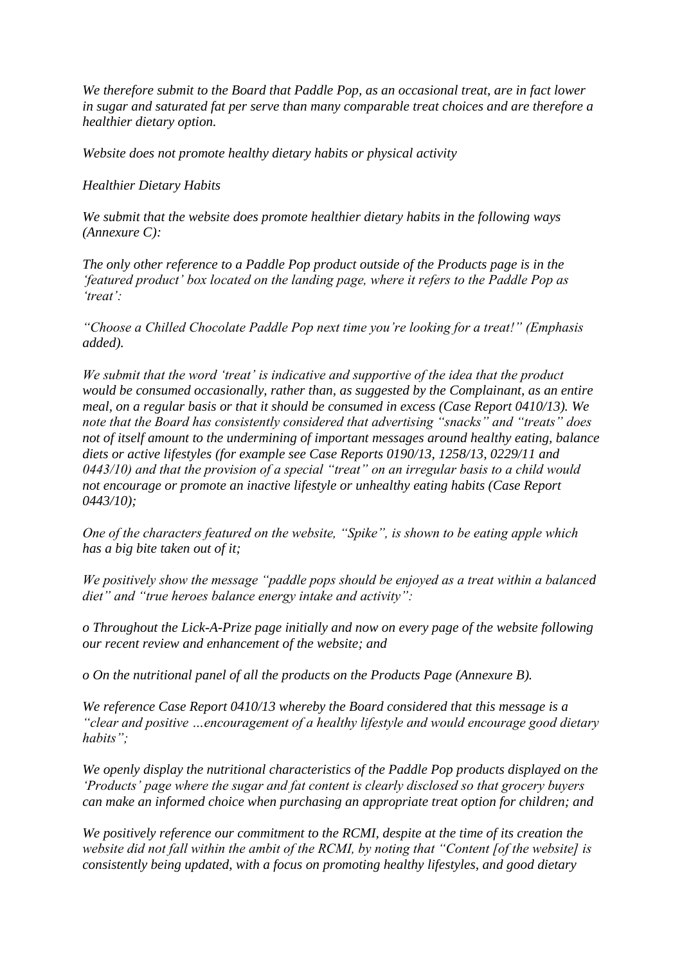*We therefore submit to the Board that Paddle Pop, as an occasional treat, are in fact lower in sugar and saturated fat per serve than many comparable treat choices and are therefore a healthier dietary option.* 

*Website does not promote healthy dietary habits or physical activity* 

## *Healthier Dietary Habits*

*We submit that the website does promote healthier dietary habits in the following ways (Annexure C):* 

*The only other reference to a Paddle Pop product outside of the Products page is in the 'featured product' box located on the landing page, where it refers to the Paddle Pop as 'treat':* 

*"Choose a Chilled Chocolate Paddle Pop next time you're looking for a treat!" (Emphasis added).* 

*We submit that the word 'treat' is indicative and supportive of the idea that the product would be consumed occasionally, rather than, as suggested by the Complainant, as an entire meal, on a regular basis or that it should be consumed in excess (Case Report 0410/13). We note that the Board has consistently considered that advertising "snacks" and "treats" does not of itself amount to the undermining of important messages around healthy eating, balance diets or active lifestyles (for example see Case Reports 0190/13, 1258/13, 0229/11 and 0443/10) and that the provision of a special "treat" on an irregular basis to a child would not encourage or promote an inactive lifestyle or unhealthy eating habits (Case Report 0443/10);* 

*One of the characters featured on the website, "Spike", is shown to be eating apple which has a big bite taken out of it;* 

*We positively show the message "paddle pops should be enjoyed as a treat within a balanced diet" and "true heroes balance energy intake and activity":* 

*o Throughout the Lick-A-Prize page initially and now on every page of the website following our recent review and enhancement of the website; and* 

*o On the nutritional panel of all the products on the Products Page (Annexure B).* 

*We reference Case Report 0410/13 whereby the Board considered that this message is a "clear and positive …encouragement of a healthy lifestyle and would encourage good dietary habits";* 

*We openly display the nutritional characteristics of the Paddle Pop products displayed on the 'Products' page where the sugar and fat content is clearly disclosed so that grocery buyers can make an informed choice when purchasing an appropriate treat option for children; and* 

*We positively reference our commitment to the RCMI, despite at the time of its creation the website did not fall within the ambit of the RCMI, by noting that "Content [of the website] is consistently being updated, with a focus on promoting healthy lifestyles, and good dietary*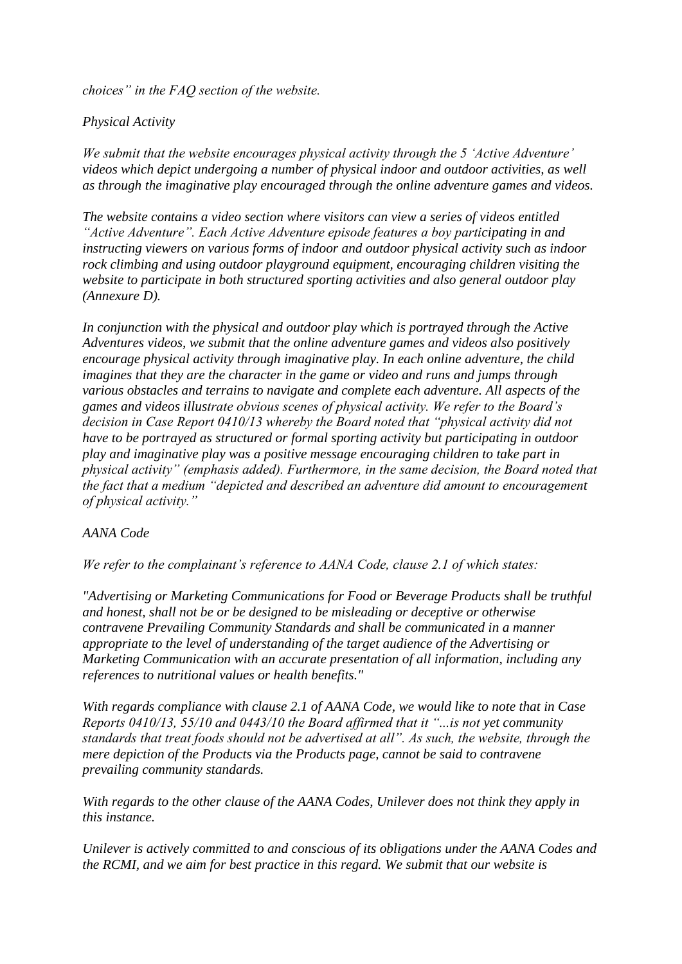*choices" in the FAQ section of the website.* 

# *Physical Activity*

*We submit that the website encourages physical activity through the 5 'Active Adventure' videos which depict undergoing a number of physical indoor and outdoor activities, as well as through the imaginative play encouraged through the online adventure games and videos.* 

*The website contains a video section where visitors can view a series of videos entitled "Active Adventure". Each Active Adventure episode features a boy participating in and instructing viewers on various forms of indoor and outdoor physical activity such as indoor rock climbing and using outdoor playground equipment, encouraging children visiting the website to participate in both structured sporting activities and also general outdoor play (Annexure D).* 

*In conjunction with the physical and outdoor play which is portrayed through the Active Adventures videos, we submit that the online adventure games and videos also positively encourage physical activity through imaginative play. In each online adventure, the child imagines that they are the character in the game or video and runs and jumps through various obstacles and terrains to navigate and complete each adventure. All aspects of the games and videos illustrate obvious scenes of physical activity. We refer to the Board's decision in Case Report 0410/13 whereby the Board noted that "physical activity did not have to be portrayed as structured or formal sporting activity but participating in outdoor play and imaginative play was a positive message encouraging children to take part in physical activity" (emphasis added). Furthermore, in the same decision, the Board noted that the fact that a medium "depicted and described an adventure did amount to encouragement of physical activity."* 

## *AANA Code*

*We refer to the complainant's reference to AANA Code, clause 2.1 of which states:* 

*"Advertising or Marketing Communications for Food or Beverage Products shall be truthful and honest, shall not be or be designed to be misleading or deceptive or otherwise contravene Prevailing Community Standards and shall be communicated in a manner appropriate to the level of understanding of the target audience of the Advertising or Marketing Communication with an accurate presentation of all information, including any references to nutritional values or health benefits."* 

*With regards compliance with clause 2.1 of AANA Code, we would like to note that in Case Reports 0410/13, 55/10 and 0443/10 the Board affirmed that it "...is not yet community standards that treat foods should not be advertised at all". As such, the website, through the mere depiction of the Products via the Products page, cannot be said to contravene prevailing community standards.* 

*With regards to the other clause of the AANA Codes, Unilever does not think they apply in this instance.* 

*Unilever is actively committed to and conscious of its obligations under the AANA Codes and the RCMI, and we aim for best practice in this regard. We submit that our website is*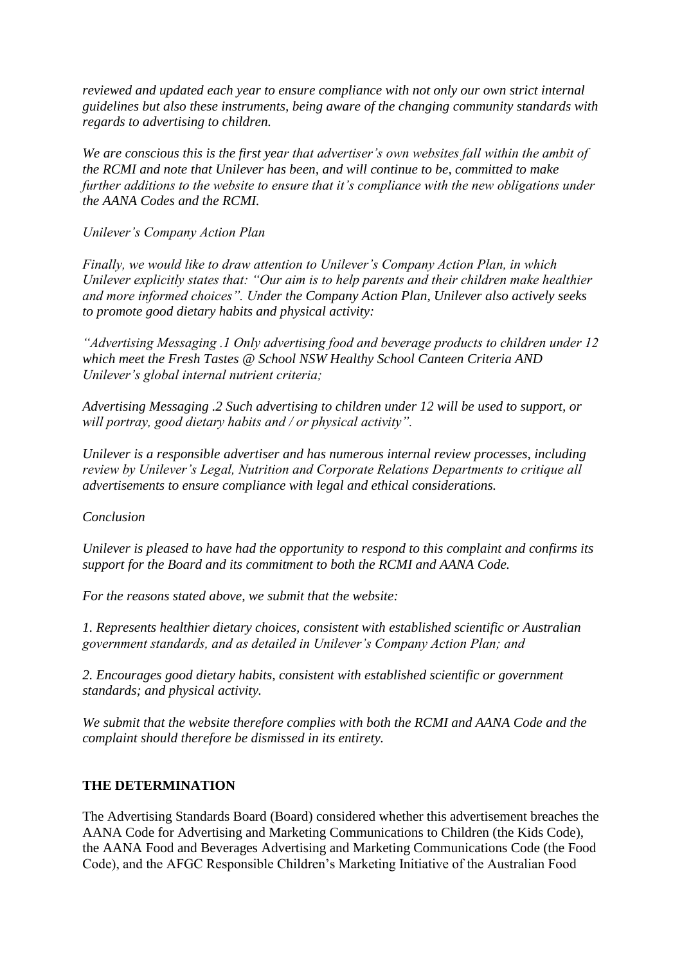*reviewed and updated each year to ensure compliance with not only our own strict internal guidelines but also these instruments, being aware of the changing community standards with regards to advertising to children.* 

*We are conscious this is the first year that advertiser's own websites fall within the ambit of the RCMI and note that Unilever has been, and will continue to be, committed to make further additions to the website to ensure that it's compliance with the new obligations under the AANA Codes and the RCMI.* 

*Unilever's Company Action Plan* 

*Finally, we would like to draw attention to Unilever's Company Action Plan, in which Unilever explicitly states that: "Our aim is to help parents and their children make healthier and more informed choices". Under the Company Action Plan, Unilever also actively seeks to promote good dietary habits and physical activity:* 

*"Advertising Messaging .1 Only advertising food and beverage products to children under 12 which meet the Fresh Tastes @ School NSW Healthy School Canteen Criteria AND Unilever's global internal nutrient criteria;* 

*Advertising Messaging .2 Such advertising to children under 12 will be used to support, or will portray, good dietary habits and / or physical activity".* 

*Unilever is a responsible advertiser and has numerous internal review processes, including review by Unilever's Legal, Nutrition and Corporate Relations Departments to critique all advertisements to ensure compliance with legal and ethical considerations.* 

*Conclusion* 

*Unilever is pleased to have had the opportunity to respond to this complaint and confirms its support for the Board and its commitment to both the RCMI and AANA Code.* 

*For the reasons stated above, we submit that the website:* 

*1. Represents healthier dietary choices, consistent with established scientific or Australian government standards, and as detailed in Unilever's Company Action Plan; and* 

*2. Encourages good dietary habits, consistent with established scientific or government standards; and physical activity.*

*We submit that the website therefore complies with both the RCMI and AANA Code and the complaint should therefore be dismissed in its entirety.*

## **THE DETERMINATION**

The Advertising Standards Board (Board) considered whether this advertisement breaches the AANA Code for Advertising and Marketing Communications to Children (the Kids Code), the AANA Food and Beverages Advertising and Marketing Communications Code (the Food Code), and the AFGC Responsible Children's Marketing Initiative of the Australian Food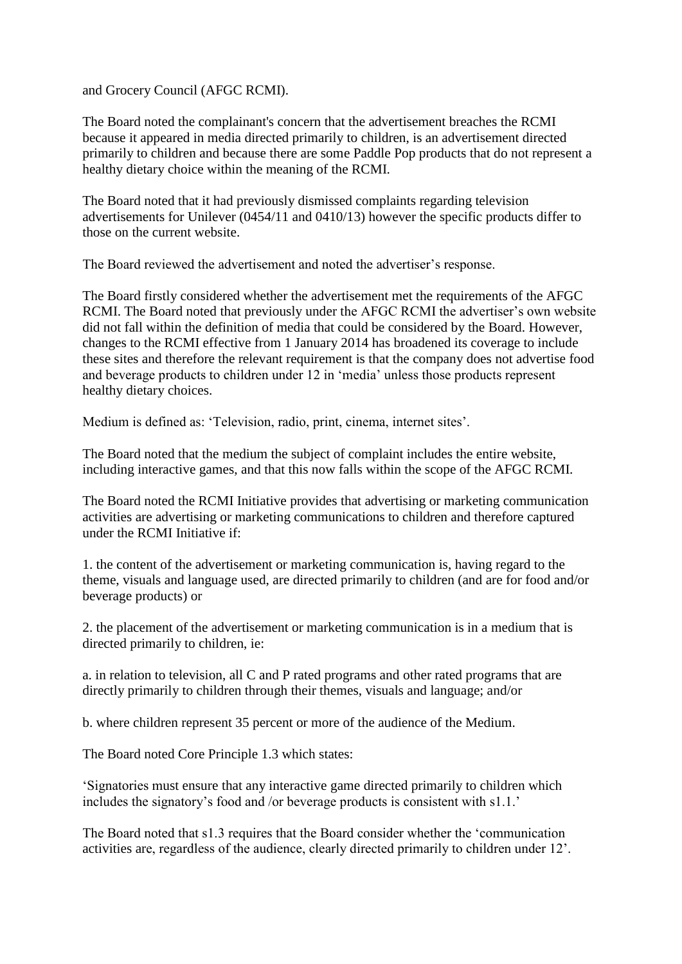and Grocery Council (AFGC RCMI).

The Board noted the complainant's concern that the advertisement breaches the RCMI because it appeared in media directed primarily to children, is an advertisement directed primarily to children and because there are some Paddle Pop products that do not represent a healthy dietary choice within the meaning of the RCMI.

The Board noted that it had previously dismissed complaints regarding television advertisements for Unilever (0454/11 and 0410/13) however the specific products differ to those on the current website.

The Board reviewed the advertisement and noted the advertiser's response.

The Board firstly considered whether the advertisement met the requirements of the AFGC RCMI. The Board noted that previously under the AFGC RCMI the advertiser's own website did not fall within the definition of media that could be considered by the Board. However, changes to the RCMI effective from 1 January 2014 has broadened its coverage to include these sites and therefore the relevant requirement is that the company does not advertise food and beverage products to children under 12 in 'media' unless those products represent healthy dietary choices.

Medium is defined as: 'Television, radio, print, cinema, internet sites'.

The Board noted that the medium the subject of complaint includes the entire website, including interactive games, and that this now falls within the scope of the AFGC RCMI.

The Board noted the RCMI Initiative provides that advertising or marketing communication activities are advertising or marketing communications to children and therefore captured under the RCMI Initiative if:

1. the content of the advertisement or marketing communication is, having regard to the theme, visuals and language used, are directed primarily to children (and are for food and/or beverage products) or

2. the placement of the advertisement or marketing communication is in a medium that is directed primarily to children, ie:

a. in relation to television, all C and P rated programs and other rated programs that are directly primarily to children through their themes, visuals and language; and/or

b. where children represent 35 percent or more of the audience of the Medium.

The Board noted Core Principle 1.3 which states:

'Signatories must ensure that any interactive game directed primarily to children which includes the signatory's food and /or beverage products is consistent with s1.1.'

The Board noted that s1.3 requires that the Board consider whether the 'communication activities are, regardless of the audience, clearly directed primarily to children under 12'.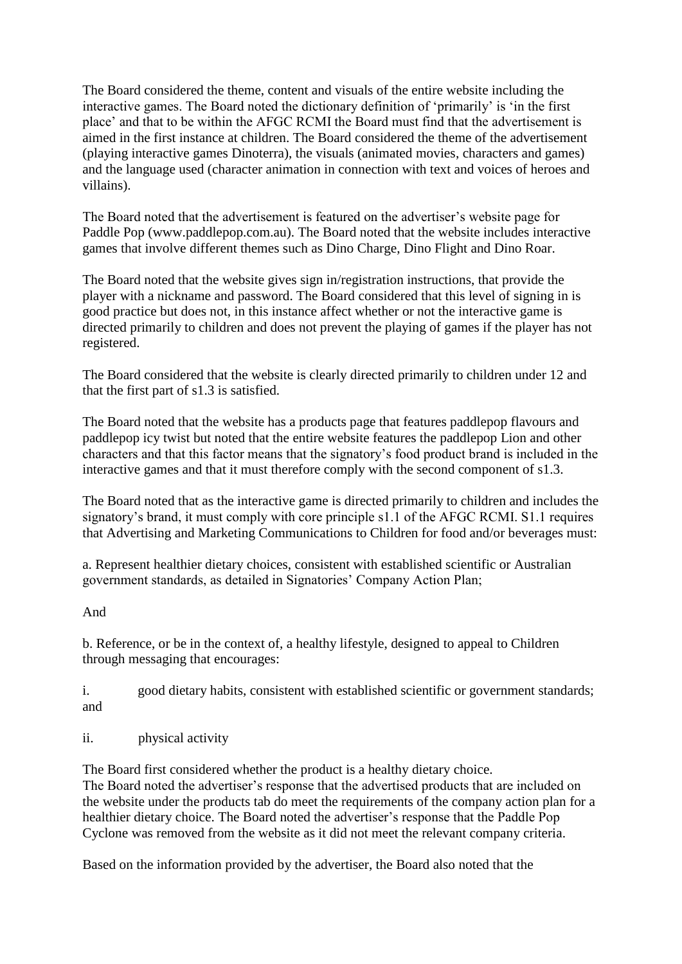The Board considered the theme, content and visuals of the entire website including the interactive games. The Board noted the dictionary definition of 'primarily' is 'in the first place' and that to be within the AFGC RCMI the Board must find that the advertisement is aimed in the first instance at children. The Board considered the theme of the advertisement (playing interactive games Dinoterra), the visuals (animated movies, characters and games) and the language used (character animation in connection with text and voices of heroes and villains).

The Board noted that the advertisement is featured on the advertiser's website page for Paddle Pop (www.paddlepop.com.au). The Board noted that the website includes interactive games that involve different themes such as Dino Charge, Dino Flight and Dino Roar.

The Board noted that the website gives sign in/registration instructions, that provide the player with a nickname and password. The Board considered that this level of signing in is good practice but does not, in this instance affect whether or not the interactive game is directed primarily to children and does not prevent the playing of games if the player has not registered.

The Board considered that the website is clearly directed primarily to children under 12 and that the first part of s1.3 is satisfied.

The Board noted that the website has a products page that features paddlepop flavours and paddlepop icy twist but noted that the entire website features the paddlepop Lion and other characters and that this factor means that the signatory's food product brand is included in the interactive games and that it must therefore comply with the second component of s1.3.

The Board noted that as the interactive game is directed primarily to children and includes the signatory's brand, it must comply with core principle s1.1 of the AFGC RCMI. S1.1 requires that Advertising and Marketing Communications to Children for food and/or beverages must:

a. Represent healthier dietary choices, consistent with established scientific or Australian government standards, as detailed in Signatories' Company Action Plan;

And

b. Reference, or be in the context of, a healthy lifestyle, designed to appeal to Children through messaging that encourages:

i. good dietary habits, consistent with established scientific or government standards; and

ii. physical activity

The Board first considered whether the product is a healthy dietary choice. The Board noted the advertiser's response that the advertised products that are included on the website under the products tab do meet the requirements of the company action plan for a healthier dietary choice. The Board noted the advertiser's response that the Paddle Pop Cyclone was removed from the website as it did not meet the relevant company criteria.

Based on the information provided by the advertiser, the Board also noted that the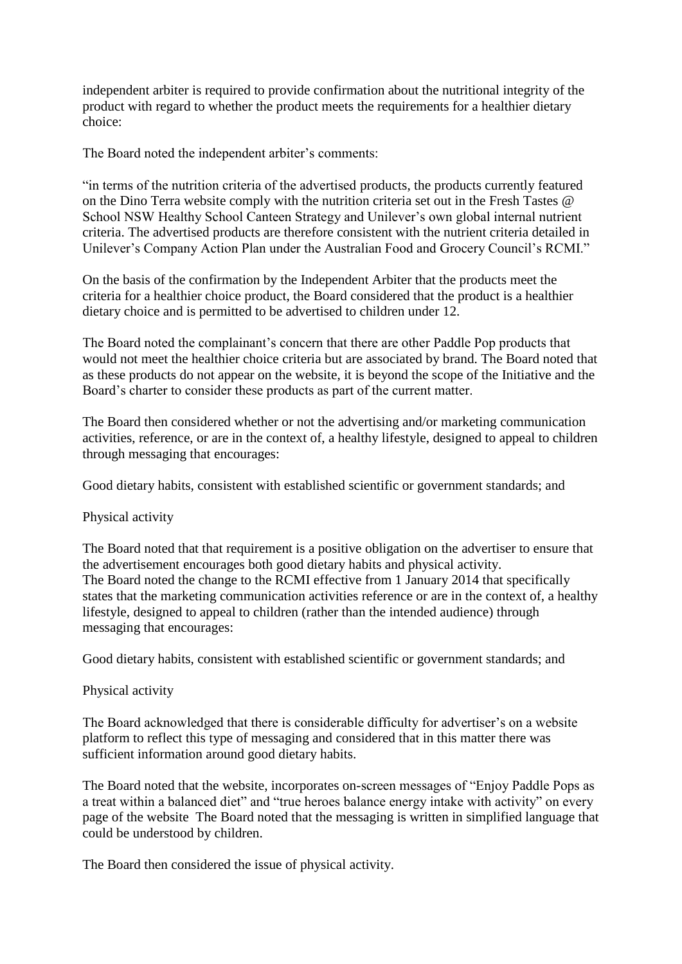independent arbiter is required to provide confirmation about the nutritional integrity of the product with regard to whether the product meets the requirements for a healthier dietary choice:

The Board noted the independent arbiter's comments:

"in terms of the nutrition criteria of the advertised products, the products currently featured on the Dino Terra website comply with the nutrition criteria set out in the Fresh Tastes @ School NSW Healthy School Canteen Strategy and Unilever's own global internal nutrient criteria. The advertised products are therefore consistent with the nutrient criteria detailed in Unilever's Company Action Plan under the Australian Food and Grocery Council's RCMI."

On the basis of the confirmation by the Independent Arbiter that the products meet the criteria for a healthier choice product, the Board considered that the product is a healthier dietary choice and is permitted to be advertised to children under 12.

The Board noted the complainant's concern that there are other Paddle Pop products that would not meet the healthier choice criteria but are associated by brand. The Board noted that as these products do not appear on the website, it is beyond the scope of the Initiative and the Board's charter to consider these products as part of the current matter.

The Board then considered whether or not the advertising and/or marketing communication activities, reference, or are in the context of, a healthy lifestyle, designed to appeal to children through messaging that encourages:

Good dietary habits, consistent with established scientific or government standards; and

### Physical activity

The Board noted that that requirement is a positive obligation on the advertiser to ensure that the advertisement encourages both good dietary habits and physical activity. The Board noted the change to the RCMI effective from 1 January 2014 that specifically states that the marketing communication activities reference or are in the context of, a healthy lifestyle, designed to appeal to children (rather than the intended audience) through messaging that encourages:

Good dietary habits, consistent with established scientific or government standards; and

## Physical activity

The Board acknowledged that there is considerable difficulty for advertiser's on a website platform to reflect this type of messaging and considered that in this matter there was sufficient information around good dietary habits.

The Board noted that the website, incorporates on-screen messages of "Enjoy Paddle Pops as a treat within a balanced diet" and "true heroes balance energy intake with activity" on every page of the website The Board noted that the messaging is written in simplified language that could be understood by children.

The Board then considered the issue of physical activity.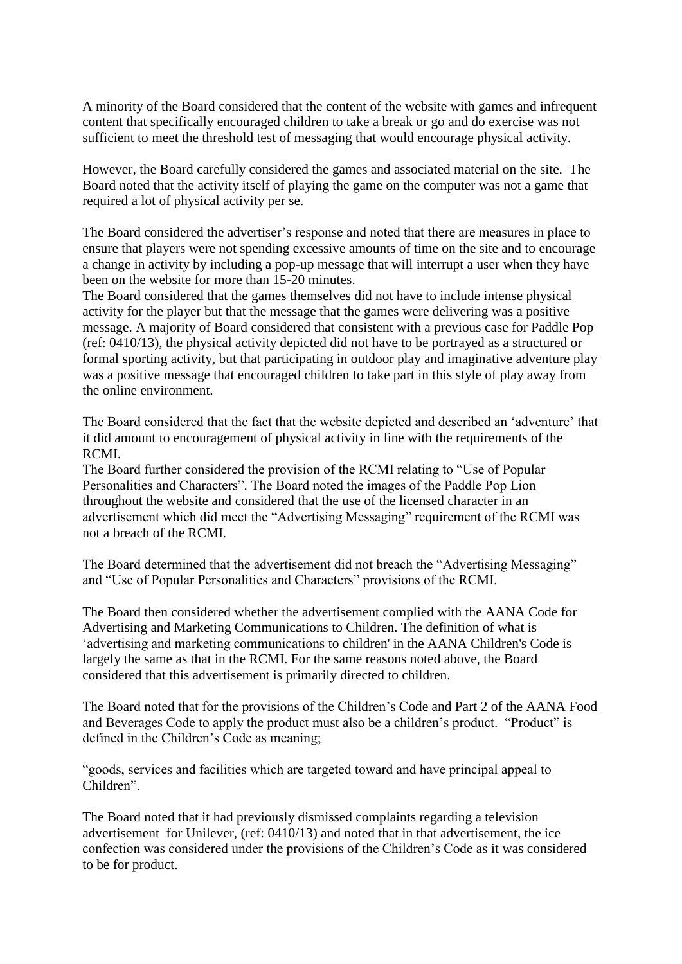A minority of the Board considered that the content of the website with games and infrequent content that specifically encouraged children to take a break or go and do exercise was not sufficient to meet the threshold test of messaging that would encourage physical activity.

However, the Board carefully considered the games and associated material on the site. The Board noted that the activity itself of playing the game on the computer was not a game that required a lot of physical activity per se.

The Board considered the advertiser's response and noted that there are measures in place to ensure that players were not spending excessive amounts of time on the site and to encourage a change in activity by including a pop-up message that will interrupt a user when they have been on the website for more than 15-20 minutes.

The Board considered that the games themselves did not have to include intense physical activity for the player but that the message that the games were delivering was a positive message. A majority of Board considered that consistent with a previous case for Paddle Pop (ref: 0410/13), the physical activity depicted did not have to be portrayed as a structured or formal sporting activity, but that participating in outdoor play and imaginative adventure play was a positive message that encouraged children to take part in this style of play away from the online environment.

The Board considered that the fact that the website depicted and described an 'adventure' that it did amount to encouragement of physical activity in line with the requirements of the RCMI.

The Board further considered the provision of the RCMI relating to "Use of Popular Personalities and Characters". The Board noted the images of the Paddle Pop Lion throughout the website and considered that the use of the licensed character in an advertisement which did meet the "Advertising Messaging" requirement of the RCMI was not a breach of the RCMI.

The Board determined that the advertisement did not breach the "Advertising Messaging" and "Use of Popular Personalities and Characters" provisions of the RCMI.

The Board then considered whether the advertisement complied with the AANA Code for Advertising and Marketing Communications to Children. The definition of what is 'advertising and marketing communications to children' in the AANA Children's Code is largely the same as that in the RCMI. For the same reasons noted above, the Board considered that this advertisement is primarily directed to children.

The Board noted that for the provisions of the Children's Code and Part 2 of the AANA Food and Beverages Code to apply the product must also be a children's product. "Product" is defined in the Children's Code as meaning;

"goods, services and facilities which are targeted toward and have principal appeal to Children".

The Board noted that it had previously dismissed complaints regarding a television advertisement for Unilever, (ref: 0410/13) and noted that in that advertisement, the ice confection was considered under the provisions of the Children's Code as it was considered to be for product.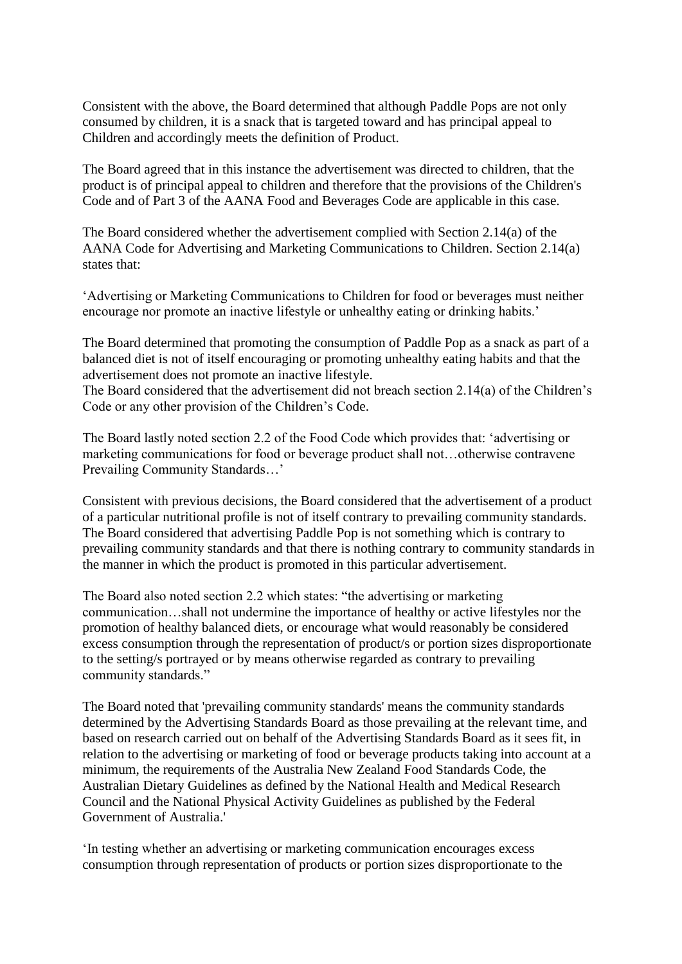Consistent with the above, the Board determined that although Paddle Pops are not only consumed by children, it is a snack that is targeted toward and has principal appeal to Children and accordingly meets the definition of Product.

The Board agreed that in this instance the advertisement was directed to children, that the product is of principal appeal to children and therefore that the provisions of the Children's Code and of Part 3 of the AANA Food and Beverages Code are applicable in this case.

The Board considered whether the advertisement complied with Section 2.14(a) of the AANA Code for Advertising and Marketing Communications to Children. Section 2.14(a) states that:

'Advertising or Marketing Communications to Children for food or beverages must neither encourage nor promote an inactive lifestyle or unhealthy eating or drinking habits.'

The Board determined that promoting the consumption of Paddle Pop as a snack as part of a balanced diet is not of itself encouraging or promoting unhealthy eating habits and that the advertisement does not promote an inactive lifestyle.

The Board considered that the advertisement did not breach section 2.14(a) of the Children's Code or any other provision of the Children's Code.

The Board lastly noted section 2.2 of the Food Code which provides that: 'advertising or marketing communications for food or beverage product shall not…otherwise contravene Prevailing Community Standards…'

Consistent with previous decisions, the Board considered that the advertisement of a product of a particular nutritional profile is not of itself contrary to prevailing community standards. The Board considered that advertising Paddle Pop is not something which is contrary to prevailing community standards and that there is nothing contrary to community standards in the manner in which the product is promoted in this particular advertisement.

The Board also noted section 2.2 which states: "the advertising or marketing communication…shall not undermine the importance of healthy or active lifestyles nor the promotion of healthy balanced diets, or encourage what would reasonably be considered excess consumption through the representation of product/s or portion sizes disproportionate to the setting/s portrayed or by means otherwise regarded as contrary to prevailing community standards."

The Board noted that 'prevailing community standards' means the community standards determined by the Advertising Standards Board as those prevailing at the relevant time, and based on research carried out on behalf of the Advertising Standards Board as it sees fit, in relation to the advertising or marketing of food or beverage products taking into account at a minimum, the requirements of the Australia New Zealand Food Standards Code, the Australian Dietary Guidelines as defined by the National Health and Medical Research Council and the National Physical Activity Guidelines as published by the Federal Government of Australia.'

'In testing whether an advertising or marketing communication encourages excess consumption through representation of products or portion sizes disproportionate to the